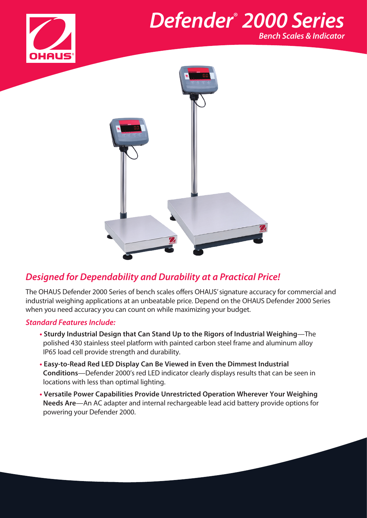

## *Defender*®  *2000 Series Bench Scales & Indicator*

## *Designed for Dependability and Durability at a Practical Price!*

The OHAUS Defender 2000 Series of bench scales offers OHAUS' signature accuracy for commercial and industrial weighing applications at an unbeatable price. Depend on the OHAUS Defender 2000 Series when you need accuracy you can count on while maximizing your budget.

### *Standard Features Include:*

- **• Sturdy Industrial Design that Can Stand Up to the Rigors of Industrial Weighing**—The polished 430 stainless steel platform with painted carbon steel frame and aluminum alloy IP65 load cell provide strength and durability.
- **• Easy-to-Read Red LED Display Can Be Viewed in Even the Dimmest Industrial Conditions**—Defender 2000's red LED indicator clearly displays results that can be seen in locations with less than optimal lighting.
- **• Versatile Power Capabilities Provide Unrestricted Operation Wherever Your Weighing Needs Are**—An AC adapter and internal rechargeable lead acid battery provide options for powering your Defender 2000.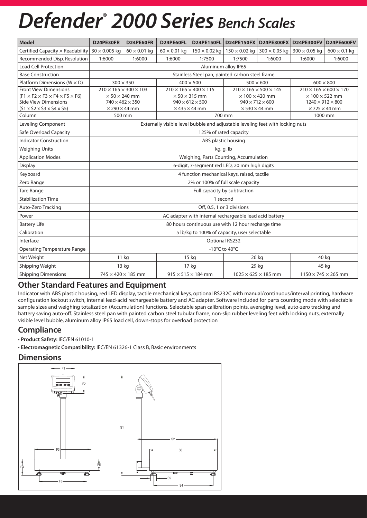# *Defender*®  *2000 Series Bench Scales*

| <b>Model</b>                                                 | D24PE30FR                                               | D24PE60FR                                                                      | D24PE60FL           | <b>D24PE150FL</b>                      | <b>D24PE150FX</b>                      | <b>D24PE300FX</b>                    | <b>D24PE300FV</b>                      | <b>D24PE600FV</b>               |
|--------------------------------------------------------------|---------------------------------------------------------|--------------------------------------------------------------------------------|---------------------|----------------------------------------|----------------------------------------|--------------------------------------|----------------------------------------|---------------------------------|
| Certified Capacity $\times$ Readability 30 $\times$ 0.005 kg |                                                         | $60 \times 0.01$ kg                                                            | $60 \times 0.01$ kg | $150 \times 0.02$ kg                   | $150 \times 0.02$ kg                   | $300 \times 0.05$ kg                 | $300 \times 0.05$ kg                   | $600 \times 0.1$ kg             |
| Recommended Disp. Resolution                                 | 1:6000                                                  | 1:6000                                                                         | 1:6000              | 1:7500                                 | 1:7500                                 | 1:6000                               | 1:6000                                 | 1:6000                          |
| <b>Load Cell Protection</b>                                  |                                                         |                                                                                |                     |                                        | Aluminum alloy IP65                    |                                      |                                        |                                 |
| <b>Base Construction</b>                                     |                                                         | Stainless Steel pan, painted carbon steel frame                                |                     |                                        |                                        |                                      |                                        |                                 |
| Platform Dimensions ( $W \times D$ )                         |                                                         | $300 \times 350$                                                               |                     | $400 \times 500$                       |                                        | $500 \times 600$<br>$600 \times 800$ |                                        |                                 |
| <b>Front View Dimensions</b>                                 |                                                         | $210 \times 165 \times 300 \times 103$                                         |                     | $210 \times 165 \times 400 \times 115$ | $210 \times 165 \times 500 \times 145$ |                                      | $210 \times 165 \times 600 \times 170$ |                                 |
| $(F1 \times F2 \times F3 \times F4 \times F5 \times F6)$     | $\times$ 50 $\times$ 240 mm                             |                                                                                |                     | $\times$ 50 $\times$ 315 mm            | $\times$ 100 $\times$ 420 mm           |                                      | $\times$ 100 $\times$ 522 mm           |                                 |
| <b>Side View Dimensions</b>                                  |                                                         | $740 \times 462 \times 350$                                                    |                     | $940 \times 612 \times 500$            | $940 \times 712 \times 600$            |                                      | $1240 \times 912 \times 800$           |                                 |
| $(S1 \times S2 \times S3 \times S4 \times S5)$               | $\times$ 290 $\times$ 44 mm                             |                                                                                |                     | $\times$ 435 $\times$ 44 mm            | $\times$ 530 $\times$ 44 mm            |                                      | $\times$ 725 $\times$ 44 mm            |                                 |
| Column                                                       |                                                         | 500 mm                                                                         |                     |                                        | 700 mm                                 |                                      | 1000 mm                                |                                 |
| Leveling Component                                           |                                                         | Externally visible level bubble and adjustable leveling feet with locking nuts |                     |                                        |                                        |                                      |                                        |                                 |
| Safe Overload Capacity                                       | 125% of rated capacity                                  |                                                                                |                     |                                        |                                        |                                      |                                        |                                 |
| <b>Indicator Construction</b>                                | ABS plastic housing                                     |                                                                                |                     |                                        |                                        |                                      |                                        |                                 |
| <b>Weighing Units</b>                                        | kg, g, lb                                               |                                                                                |                     |                                        |                                        |                                      |                                        |                                 |
| <b>Application Modes</b>                                     | Weighing, Parts Counting, Accumulation                  |                                                                                |                     |                                        |                                        |                                      |                                        |                                 |
| Display                                                      | 6-digit, 7-segment red LED, 20 mm high digits           |                                                                                |                     |                                        |                                        |                                      |                                        |                                 |
| Keyboard                                                     | 4 function mechanical keys, raised, tactile             |                                                                                |                     |                                        |                                        |                                      |                                        |                                 |
| Zero Range                                                   | 2% or 100% of full scale capacity                       |                                                                                |                     |                                        |                                        |                                      |                                        |                                 |
| <b>Tare Range</b>                                            | Full capacity by subtraction                            |                                                                                |                     |                                        |                                        |                                      |                                        |                                 |
| <b>Stabilization Time</b>                                    | 1 second                                                |                                                                                |                     |                                        |                                        |                                      |                                        |                                 |
| Auto-Zero Tracking                                           | Off, 0.5, 1 or 3 divisions                              |                                                                                |                     |                                        |                                        |                                      |                                        |                                 |
| Power                                                        | AC adapter with internal rechargeable lead acid battery |                                                                                |                     |                                        |                                        |                                      |                                        |                                 |
| <b>Battery Life</b>                                          | 80 hours continuous use with 12 hour recharge time      |                                                                                |                     |                                        |                                        |                                      |                                        |                                 |
| Calibration                                                  | 5 lb/kg to 100% of capacity, user selectable            |                                                                                |                     |                                        |                                        |                                      |                                        |                                 |
| Interface                                                    | Optional RS232                                          |                                                                                |                     |                                        |                                        |                                      |                                        |                                 |
| <b>Operating Temperature Range</b>                           |                                                         | -10°C to 40°C                                                                  |                     |                                        |                                        |                                      |                                        |                                 |
| Net Weight                                                   | $11$ kg                                                 |                                                                                |                     | 15 kg                                  |                                        | 26 kg                                |                                        | 40 kg                           |
| Shipping Weight                                              | 13 kg                                                   |                                                                                |                     | 17 kg                                  |                                        | 29 kg                                |                                        | 45 kg                           |
| <b>Shipping Dimensions</b>                                   |                                                         | $745 \times 420 \times 185$ mm                                                 |                     | $915 \times 515 \times 184$ mm         |                                        | $1025 \times 625 \times 185$ mm      |                                        | $1150 \times 745 \times 265$ mm |

## **Other Standard Features and Equipment**

Indicator with ABS plastic housing, red LED display, tactile mechanical keys, optional RS232C with manual/continuous/interval printing, hardware configuration lockout switch, internal lead-acid rechargeable battery and AC adapter. Software included for parts counting mode with selectable sample sizes and weighing totalization (Accumulation) functions. Selectable span calibration points, averaging level, auto-zero tracking and battery saving auto-off. Stainless steel pan with painted carbon steel tubular frame, non-slip rubber leveling feet with locking nuts, externally visible level bubble, aluminum alloy IP65 load cell, down-stops for overload protection

## **Compliance**

- **Product Safety:** IEC/EN 61010-1
- **Electromagnetic Compatibility:** IEC/EN 61326-1 Class B, Basic environments

### **Dimensions**

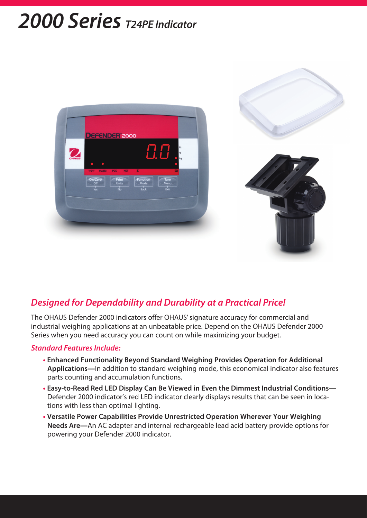## *2000 Series T24PE Indicator*



## *Designed for Dependability and Durability at a Practical Price!*

The OHAUS Defender 2000 indicators offer OHAUS' signature accuracy for commercial and industrial weighing applications at an unbeatable price. Depend on the OHAUS Defender 2000 Series when you need accuracy you can count on while maximizing your budget.

#### *Standard Features Include:*

- **Enhanced Functionality Beyond Standard Weighing Provides Operation for Additional Applications—**In addition to standard weighing mode, this economical indicator also features parts counting and accumulation functions.
- **Easy-to-Read Red LED Display Can Be Viewed in Even the Dimmest Industrial Conditions—** Defender 2000 indicator's red LED indicator clearly displays results that can be seen in locations with less than optimal lighting.
- **Versatile Power Capabilities Provide Unrestricted Operation Wherever Your Weighing Needs Are—**An AC adapter and internal rechargeable lead acid battery provide options for powering your Defender 2000 indicator.